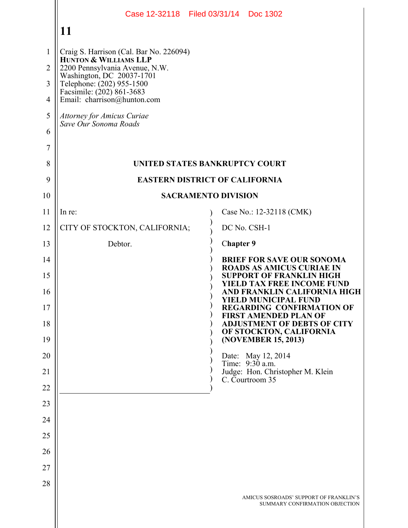|                |                                                                                                                    | Case 12-32118 Filed 03/31/14 Doc 1302                                                    |  |  |  |  |  |  |  |
|----------------|--------------------------------------------------------------------------------------------------------------------|------------------------------------------------------------------------------------------|--|--|--|--|--|--|--|
|                | 11                                                                                                                 |                                                                                          |  |  |  |  |  |  |  |
| $\mathbf{1}$   | Craig S. Harrison (Cal. Bar No. 226094)                                                                            |                                                                                          |  |  |  |  |  |  |  |
| $\overline{2}$ | HUNTON & WILLIAMS LLP<br>2200 Pennsylvania Avenue, N.W.                                                            |                                                                                          |  |  |  |  |  |  |  |
| 3              | Washington, DC 20037-1701<br>Telephone: (202) 955-1500<br>Facsimile: (202) 861-3683<br>Email: charrison@hunton.com |                                                                                          |  |  |  |  |  |  |  |
| 4              |                                                                                                                    |                                                                                          |  |  |  |  |  |  |  |
| 5              | <b>Attorney for Amicus Curiae</b><br>Save Our Sonoma Roads                                                         |                                                                                          |  |  |  |  |  |  |  |
| 6              |                                                                                                                    |                                                                                          |  |  |  |  |  |  |  |
| 7              |                                                                                                                    |                                                                                          |  |  |  |  |  |  |  |
| 8<br>9         | UNITED STATES BANKRUPTCY COURT<br><b>EASTERN DISTRICT OF CALIFORNIA</b>                                            |                                                                                          |  |  |  |  |  |  |  |
| 10             |                                                                                                                    | <b>SACRAMENTO DIVISION</b>                                                               |  |  |  |  |  |  |  |
| 11             | In re:                                                                                                             | Case No.: 12-32118 (CMK)                                                                 |  |  |  |  |  |  |  |
| 12             | CITY OF STOCKTON, CALIFORNIA;                                                                                      | DC No. CSH-1                                                                             |  |  |  |  |  |  |  |
| 13             | Debtor.                                                                                                            | <b>Chapter 9</b>                                                                         |  |  |  |  |  |  |  |
| 14             |                                                                                                                    | <b>BRIEF FOR SAVE OUR SONOMA</b>                                                         |  |  |  |  |  |  |  |
| 15             |                                                                                                                    | <b>ROADS AS AMICUS CURIAE IN</b><br><b>SUPPORT OF FRANKLIN HIGH</b>                      |  |  |  |  |  |  |  |
| 16             |                                                                                                                    | <b>[ELD TAX FREE INCOME FUND</b><br>AND FRANKLIN CALIFORNIA HIGH<br>YIELD MUNICIPAL FUND |  |  |  |  |  |  |  |
| 17             |                                                                                                                    | <b>REGARDING CONFIRMATION OF</b><br><b>FIRST AMENDED PLAN OF</b>                         |  |  |  |  |  |  |  |
| 18             |                                                                                                                    | <b>ADJUSTMENT OF DEBTS OF CITY</b><br>OF STOCKTON, CALIFORNIA                            |  |  |  |  |  |  |  |
| 19<br>20       |                                                                                                                    | (NOVEMBER 15, 2013)<br>Date: May 12, 2014                                                |  |  |  |  |  |  |  |
| 21             |                                                                                                                    | Time: 9:30 a.m.<br>Judge: Hon. Christopher M. Klein                                      |  |  |  |  |  |  |  |
| 22             |                                                                                                                    | C. Courtroom 35                                                                          |  |  |  |  |  |  |  |
| 23             |                                                                                                                    |                                                                                          |  |  |  |  |  |  |  |
| 24             |                                                                                                                    |                                                                                          |  |  |  |  |  |  |  |
| 25             |                                                                                                                    |                                                                                          |  |  |  |  |  |  |  |
| 26             |                                                                                                                    |                                                                                          |  |  |  |  |  |  |  |
| 27             |                                                                                                                    |                                                                                          |  |  |  |  |  |  |  |
| 28             |                                                                                                                    |                                                                                          |  |  |  |  |  |  |  |
|                |                                                                                                                    | AMICUS SOSROADS' SUPPORT OF FRANKLIN'S<br>SUMMARY CONFIRMATION OBJECTION                 |  |  |  |  |  |  |  |
|                |                                                                                                                    |                                                                                          |  |  |  |  |  |  |  |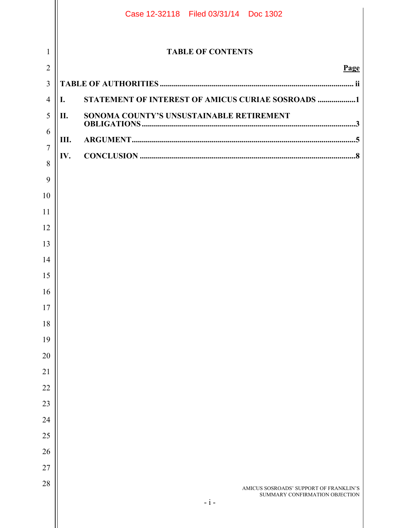|                |     | Case 12-32118 Filed 03/31/14 Doc 1302                                    |
|----------------|-----|--------------------------------------------------------------------------|
| 1              |     | <b>TABLE OF CONTENTS</b>                                                 |
| $\overline{2}$ |     | Page                                                                     |
| $\overline{3}$ |     |                                                                          |
| $\overline{4}$ | I.  | STATEMENT OF INTEREST OF AMICUS CURIAE SOSROADS 1                        |
| 5              | II. | SONOMA COUNTY'S UNSUSTAINABLE RETIREMENT                                 |
| 6              | Ш.  |                                                                          |
| $\overline{7}$ | IV. |                                                                          |
| 8              |     |                                                                          |
| 9              |     |                                                                          |
| 10             |     |                                                                          |
| 11             |     |                                                                          |
| 12             |     |                                                                          |
| 13<br>14       |     |                                                                          |
| 15             |     |                                                                          |
| 16             |     |                                                                          |
| 17             |     |                                                                          |
| 18             |     |                                                                          |
| 19             |     |                                                                          |
| 20             |     |                                                                          |
| 21             |     |                                                                          |
| 22             |     |                                                                          |
| 23             |     |                                                                          |
| 24             |     |                                                                          |
| $25\,$         |     |                                                                          |
| 26             |     |                                                                          |
| $27\,$         |     |                                                                          |
| 28             |     | AMICUS SOSROADS' SUPPORT OF FRANKLIN'S<br>SUMMARY CONFIRMATION OBJECTION |
|                |     | $-i-$                                                                    |
|                |     |                                                                          |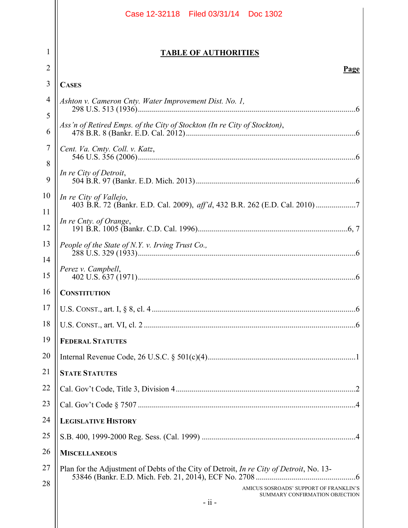|          | Case 12-32118 Filed 03/31/14 Doc 1302                                                   |  |  |  |  |  |  |  |
|----------|-----------------------------------------------------------------------------------------|--|--|--|--|--|--|--|
| 1<br>2   | <b>TABLE OF AUTHORITIES</b><br><b>Page</b>                                              |  |  |  |  |  |  |  |
| 3        | <b>CASES</b>                                                                            |  |  |  |  |  |  |  |
| 4        | Ashton v. Cameron Cnty. Water Improvement Dist. No. 1,                                  |  |  |  |  |  |  |  |
| 5        |                                                                                         |  |  |  |  |  |  |  |
| 6        | Ass'n of Retired Emps. of the City of Stockton (In re City of Stockton),                |  |  |  |  |  |  |  |
| 7<br>8   | Cent. Va. Cmty. Coll. v. Katz,                                                          |  |  |  |  |  |  |  |
| 9        | In re City of Detroit,                                                                  |  |  |  |  |  |  |  |
| 10       | In re City of Vallejo,                                                                  |  |  |  |  |  |  |  |
| 11<br>12 | In re Cnty. of Orange,                                                                  |  |  |  |  |  |  |  |
| 13       | People of the State of N.Y. v. Irving Trust Co.,                                        |  |  |  |  |  |  |  |
| 14<br>15 | Perez v. Campbell,                                                                      |  |  |  |  |  |  |  |
| 16       | <b>CONSTITUTION</b>                                                                     |  |  |  |  |  |  |  |
| 17       |                                                                                         |  |  |  |  |  |  |  |
| 18       |                                                                                         |  |  |  |  |  |  |  |
| 19       | <b>FEDERAL STATUTES</b>                                                                 |  |  |  |  |  |  |  |
| 20       |                                                                                         |  |  |  |  |  |  |  |
| 21       | <b>STATE STATUTES</b>                                                                   |  |  |  |  |  |  |  |
| 22       |                                                                                         |  |  |  |  |  |  |  |
| 23       |                                                                                         |  |  |  |  |  |  |  |
| 24       | <b>LEGISLATIVE HISTORY</b>                                                              |  |  |  |  |  |  |  |
| 25       |                                                                                         |  |  |  |  |  |  |  |
| 26       | <b>MISCELLANEOUS</b>                                                                    |  |  |  |  |  |  |  |
| 27       | Plan for the Adjustment of Debts of the City of Detroit, In re City of Detroit, No. 13- |  |  |  |  |  |  |  |
| 28       | AMICUS SOSROADS' SUPPORT OF FRANKLIN'S<br>SUMMARY CONFIRMATION OBJECTION<br>$-11-$      |  |  |  |  |  |  |  |
|          |                                                                                         |  |  |  |  |  |  |  |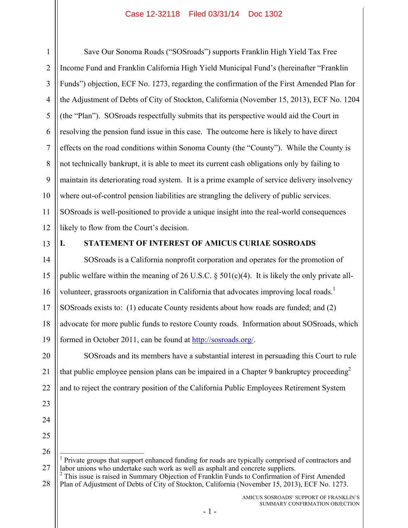1 2 3 4 5 6 7 8 9 10 11 12 Save Our Sonoma Roads ("SOSroads") supports Franklin High Yield Tax Free Income Fund and Franklin California High Yield Municipal Fund's (hereinafter "Franklin Funds") objection, ECF No. 1273, regarding the confirmation of the First Amended Plan for the Adjustment of Debts of City of Stockton, California (November 15, 2013), ECF No. 1204 (the "Plan"). SOSroads respectfully submits that its perspective would aid the Court in resolving the pension fund issue in this case. The outcome here is likely to have direct effects on the road conditions within Sonoma County (the "County"). While the County is not technically bankrupt, it is able to meet its current cash obligations only by failing to maintain its deteriorating road system. It is a prime example of service delivery insolvency where out-of-control pension liabilities are strangling the delivery of public services. SOSroads is well-positioned to provide a unique insight into the real-world consequences likely to flow from the Court's decision.

13

23

24

25

26

 $\overline{\phantom{a}}$  , where  $\overline{\phantom{a}}$ 

# **I. STATEMENT OF INTEREST OF AMICUS CURIAE SOSROADS**

14 15 16 17 18 19 SOSroads is a California nonprofit corporation and operates for the promotion of public welfare within the meaning of 26 U.S.C.  $\S$  501(c)(4). It is likely the only private allvolunteer, grassroots organization in California that advocates improving local roads.<sup>1</sup> SOSroads exists to: (1) educate County residents about how roads are funded; and (2) advocate for more public funds to restore County roads. Information about SOSroads, which formed in October 2011, can be found at http://sosroads.org/.

20 21 22 SOSroads and its members have a substantial interest in persuading this Court to rule that public employee pension plans can be impaired in a Chapter 9 bankruptcy proceeding<sup>2</sup> and to reject the contrary position of the California Public Employees Retirement System

27 1 Private groups that support enhanced funding for roads are typically comprised of contractors and labor unions who undertake such work as well as asphalt and concrete suppliers. 2

<sup>28</sup> <sup>2</sup> This issue is raised in Summary Objection of Franklin Funds to Confirmation of First Amended Plan of Adjustment of Debts of City of Stockton, California (November 15, 2013), ECF No. 1273.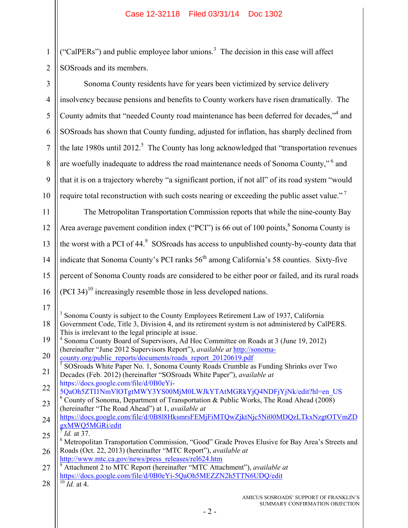1 2 SOSroads and its members. ("CalPERs") and public employee labor unions.<sup>3</sup> The decision in this case will affect

| $\overline{3}$ | Sonoma County residents have for years been victimized by service delivery                                                                                       |  |  |  |  |  |  |
|----------------|------------------------------------------------------------------------------------------------------------------------------------------------------------------|--|--|--|--|--|--|
| $\overline{4}$ | insolvency because pensions and benefits to County workers have risen dramatically. The                                                                          |  |  |  |  |  |  |
| 5              | County admits that "needed County road maintenance has been deferred for decades," <sup>4</sup> and                                                              |  |  |  |  |  |  |
| 6              | SOSroads has shown that County funding, adjusted for inflation, has sharply declined from                                                                        |  |  |  |  |  |  |
| $\overline{7}$ | the late 1980s until 2012. <sup>5</sup> The County has long acknowledged that "transportation revenues"                                                          |  |  |  |  |  |  |
| 8              | are woefully inadequate to address the road maintenance needs of Sonoma County," <sup>6</sup> and                                                                |  |  |  |  |  |  |
| 9              | that it is on a trajectory whereby "a significant portion, if not all" of its road system "would                                                                 |  |  |  |  |  |  |
| 10             | require total reconstruction with such costs nearing or exceeding the public asset value." <sup>7</sup>                                                          |  |  |  |  |  |  |
| 11             | The Metropolitan Transportation Commission reports that while the nine-county Bay                                                                                |  |  |  |  |  |  |
| 12             | Area average pavement condition index ("PCI") is 66 out of 100 points, <sup>8</sup> Sonoma County is                                                             |  |  |  |  |  |  |
| 13             | the worst with a PCI of 44. <sup>9</sup> SOSroads has access to unpublished county-by-county data that                                                           |  |  |  |  |  |  |
| 14             | indicate that Sonoma County's PCI ranks 56 <sup>th</sup> among California's 58 counties. Sixty-five                                                              |  |  |  |  |  |  |
| 15             | percent of Sonoma County roads are considered to be either poor or failed, and its rural roads                                                                   |  |  |  |  |  |  |
|                |                                                                                                                                                                  |  |  |  |  |  |  |
| 16             | $(PCI 34)^{10}$ increasingly resemble those in less developed nations.                                                                                           |  |  |  |  |  |  |
| 17             | Sonoma County is subject to the County Employees Retirement Law of 1937, California                                                                              |  |  |  |  |  |  |
| 18             | Government Code, Title 3, Division 4, and its retirement system is not administered by CalPERS.<br>This is irrelevant to the legal principle at issue.           |  |  |  |  |  |  |
| 19             | Sonoma County Board of Supervisors, Ad Hoc Committee on Roads at 3 (June 19, 2012)<br>(hereinafter "June 2012 Supervisors Report"), available at http://sonoma-  |  |  |  |  |  |  |
| 20             | county.org/public reports/documents/roads report 20120619.pdf                                                                                                    |  |  |  |  |  |  |
| 21             | SOSroads White Paper No. 1, Sonoma County Roads Crumble as Funding Shrinks over Two<br>Decades (Feb. 2012) (hereinafter "SOSroads White Paper"), available at    |  |  |  |  |  |  |
| 22             | https://docs.google.com/file/d/0B0eYi-<br>5QaOh5ZTI1NmVlOTgtMWY3YS00MjM0LWJkYTAtMGRkYjQ4NDFjYjNk/edit?hl=en US                                                   |  |  |  |  |  |  |
| 23             | County of Sonoma, Department of Transportation & Public Works, The Road Ahead (2008)<br>(hereinafter "The Road Ahead") at 1, available at                        |  |  |  |  |  |  |
| 24             | https://docs.google.com/file/d/0B818HksmrsFEMjFiMTQwZjktNjc5Ni00MDQzLTkxNzgtOTVmZD                                                                               |  |  |  |  |  |  |
| 25             | gxMWQ5MGRi/edit<br>$^7$ <i>Id.</i> at 37.                                                                                                                        |  |  |  |  |  |  |
| 26             | Metropolitan Transportation Commission, "Good" Grade Proves Elusive for Bay Area's Streets and<br>Roads (Oct. 22, 2013) (hereinafter "MTC Report"), available at |  |  |  |  |  |  |
|                | http://www.mtc.ca.gov/news/press_releases/rel624.htm                                                                                                             |  |  |  |  |  |  |
| 27             | Attachment 2 to MTC Report (hereinafter "MTC Attachment"), available at<br>https://docs.google.com/file/d/0B0eYi-5QaOh5MEZZN2h5TTN6UDQ/edit                      |  |  |  |  |  |  |
| 28             | $^{10}$ <i>Id.</i> at 4.                                                                                                                                         |  |  |  |  |  |  |
|                | AMICUS SOSROADS' SUPPORT OF FRANKLIN'S<br>SUMMARY CONFIRMATION OBJECTION                                                                                         |  |  |  |  |  |  |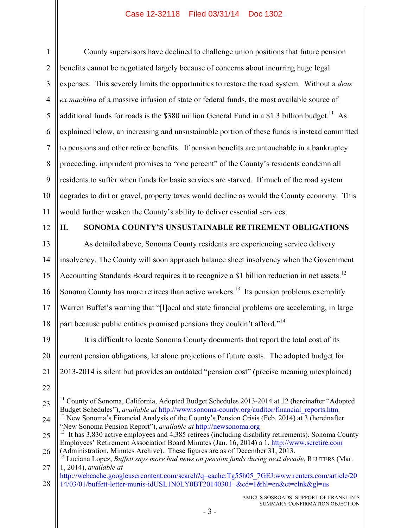1 2 3 4 5 6 7 8 9 10 11 County supervisors have declined to challenge union positions that future pension benefits cannot be negotiated largely because of concerns about incurring huge legal expenses. This severely limits the opportunities to restore the road system. Without a *deus ex machina* of a massive infusion of state or federal funds, the most available source of additional funds for roads is the \$380 million General Fund in a \$1.3 billion budget.<sup>11</sup> As explained below, an increasing and unsustainable portion of these funds is instead committed to pensions and other retiree benefits. If pension benefits are untouchable in a bankruptcy proceeding, imprudent promises to "one percent" of the County's residents condemn all residents to suffer when funds for basic services are starved. If much of the road system degrades to dirt or gravel, property taxes would decline as would the County economy. This would further weaken the County's ability to deliver essential services.

12

# **II. SONOMA COUNTY'S UNSUSTAINABLE RETIREMENT OBLIGATIONS**

13 14 15 16 17 18 As detailed above, Sonoma County residents are experiencing service delivery insolvency. The County will soon approach balance sheet insolvency when the Government Accounting Standards Board requires it to recognize a \$1 billion reduction in net assets.<sup>12</sup> Sonoma County has more retirees than active workers.<sup>13</sup> Its pension problems exemplify Warren Buffet's warning that "[l]ocal and state financial problems are accelerating, in large part because public entities promised pensions they couldn't afford."<sup>14</sup>

19 20 21 22 It is difficult to locate Sonoma County documents that report the total cost of its current pension obligations, let alone projections of future costs. The adopted budget for 2013-2014 is silent but provides an outdated "pension cost" (precise meaning unexplained)

<sup>23</sup> <sup>11</sup> County of Sonoma, California, Adopted Budget Schedules 2013-2014 at 12 (hereinafter "Adopted Budget Schedules"), *available at* http://www.sonoma-county.org/auditor/financial\_reports.htm

<sup>24</sup>  $12$  New Sonoma's Financial Analysis of the County's Pension Crisis (Feb. 2014) at 3 (hereinafter "New Sonoma Pension Report"), *available at* http://newsonoma.org

<sup>25</sup> 26  $^{13}$  It has 3,830 active employees and 4,385 retirees (including disability retirements). Sonoma County Employees' Retirement Association Board Minutes (Jan. 16, 2014) a 1, http://www.scretire.com (Administration, Minutes Archive). These figures are as of December 31, 2013.

<sup>27</sup> <sup>14</sup> Luciana Lopez, *Buffett says more bad news on pension funds during next decade*, REUTERS (Mar. 1, 2014), *available at* 

<sup>28</sup> http://webcache.googleusercontent.com/search?q=cache:Tg55h05\_7GEJ:www.reuters.com/article/20 14/03/01/buffett-letter-munis-idUSL1N0LY0BT20140301+&cd=1&hl=en&ct=clnk&gl=us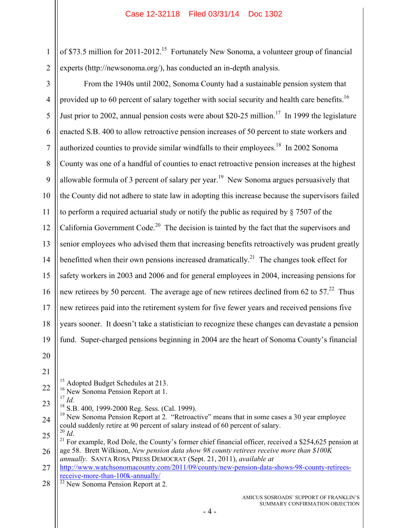1 2 of \$73.5 million for 2011-2012.<sup>15</sup> Fortunately New Sonoma, a volunteer group of financial experts (http://newsonoma.org/), has conducted an in-depth analysis.

3 4 5 6 7 8 9 10 11 12 13 14 15 16 17 18 19 20 21 22 23 From the 1940s until 2002, Sonoma County had a sustainable pension system that provided up to 60 percent of salary together with social security and health care benefits.<sup>16</sup> Just prior to 2002, annual pension costs were about \$20-25 million.<sup>17</sup> In 1999 the legislature enacted S.B. 400 to allow retroactive pension increases of 50 percent to state workers and authorized counties to provide similar windfalls to their employees.<sup>18</sup> In 2002 Sonoma County was one of a handful of counties to enact retroactive pension increases at the highest allowable formula of 3 percent of salary per year.<sup>19</sup> New Sonoma argues persuasively that the County did not adhere to state law in adopting this increase because the supervisors failed to perform a required actuarial study or notify the public as required by § 7507 of the California Government Code.<sup>20</sup> The decision is tainted by the fact that the supervisors and senior employees who advised them that increasing benefits retroactively was prudent greatly benefitted when their own pensions increased dramatically.<sup>21</sup> The changes took effect for safety workers in 2003 and 2006 and for general employees in 2004, increasing pensions for new retirees by 50 percent. The average age of new retirees declined from 62 to 57.<sup>22</sup> Thus new retirees paid into the retirement system for five fewer years and received pensions five years sooner. It doesn't take a statistician to recognize these changes can devastate a pension fund. Super-charged pensions beginning in 2004 are the heart of Sonoma County's financial <sup>15</sup> Adopted Budget Schedules at 213. <sup>16</sup> New Sonoma Pension Report at 1. <sup>17</sup> *Id.*

18 S.B. 400, 1999-2000 Reg. Sess. (Cal. 1999).

24 25 19 New Sonoma Pension Report at 2. "Retroactive" means that in some cases a 30 year employee could suddenly retire at 90 percent of salary instead of 60 percent of salary.<br><sup>20</sup> *Id*.

26 <sup>21</sup> For example, Rod Dole, the County's former chief financial officer, received a \$254,625 pension at age 58. Brett Wilkison, *New pension data show 98 county retirees receive more than \$100K annually.* SANTA ROSA PRESS DEMOCRAT (Sept. 21, 2011), *available at*

27 http://www.watchsonomacounty.com/2011/09/county/new-pension-data-shows-98-county-retireesreceive-more-than-100k-annually/

28 <sup>22</sup> New Sonoma Pension Report at 2.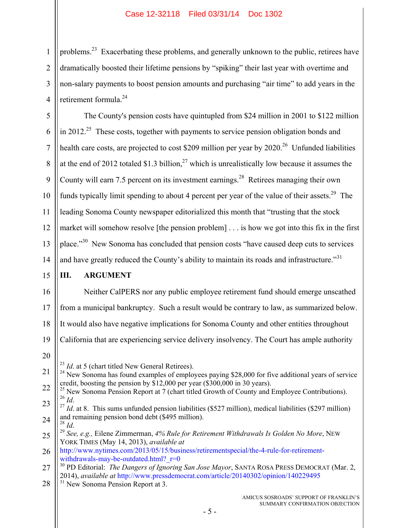1 2 3 4 problems.<sup>23</sup> Exacerbating these problems, and generally unknown to the public, retirees have dramatically boosted their lifetime pensions by "spiking" their last year with overtime and non-salary payments to boost pension amounts and purchasing "air time" to add years in the retirement formula.<sup>24</sup>

5 6 7 8 9 10 11 12 13 14 The County's pension costs have quintupled from \$24 million in 2001 to \$122 million in 2012.<sup>25</sup> These costs, together with payments to service pension obligation bonds and health care costs, are projected to cost \$209 million per year by  $2020$ <sup>26</sup> Unfunded liabilities at the end of 2012 totaled \$1.3 billion,<sup>27</sup> which is unrealistically low because it assumes the County will earn 7.5 percent on its investment earnings.<sup>28</sup> Retirees managing their own funds typically limit spending to about 4 percent per year of the value of their assets.<sup>29</sup> The leading Sonoma County newspaper editorialized this month that "trusting that the stock market will somehow resolve [the pension problem] . . . is how we got into this fix in the first place."<sup>30</sup> New Sonoma has concluded that pension costs "have caused deep cuts to services" and have greatly reduced the County's ability to maintain its roads and infrastructure."<sup>31</sup>

#### 15 **III. ARGUMENT**

16 17 18 19 20 21 Neither CalPERS nor any public employee retirement fund should emerge unscathed from a municipal bankruptcy. Such a result would be contrary to law, as summarized below. It would also have negative implications for Sonoma County and other entities throughout California that are experiencing service delivery insolvency. The Court has ample authority <sup>23</sup> *Id.* at 5 (chart titled New General Retirees).  $^{24}$  New Sonoma has found examples of employees paying \$28,000 for five additional years of service

credit, boosting the pension by \$12,000 per year (\$300,000 in 30 years).

- 24 <sup>27</sup> *Id.* at 8. This sums unfunded pension liabilities (\$527 million), medical liabilities (\$297 million) and remaining pension bond debt (\$495 million).
- 25 <sup>28</sup> *Id*. 29 *See, e.g.,* Eilene Zimmerman, *4% Rule for Retirement Withdrawals Is Golden No More*, NEW YORK TIMES (May 14, 2013), *available at*

28 <sup>31</sup> New Sonoma Pension Report at 3.

<sup>22</sup> 23 <sup>25</sup> New Sonoma Pension Report at 7 (chart titled Growth of County and Employee Contributions).<br><sup>26</sup>  $I_d$ 

<sup>26</sup> http://www.nytimes.com/2013/05/15/business/retirementspecial/the-4-rule-for-retirementwithdrawals-may-be-outdated.html? $r=0$ 

<sup>27</sup> 30 PD Editorial: *The Dangers of Ignoring San Jose Mayor*, SANTA ROSA PRESS DEMOCRAT (Mar. 2, 2014), *available at* http://www.pressdemocrat.com/article/20140302/opinion/140229495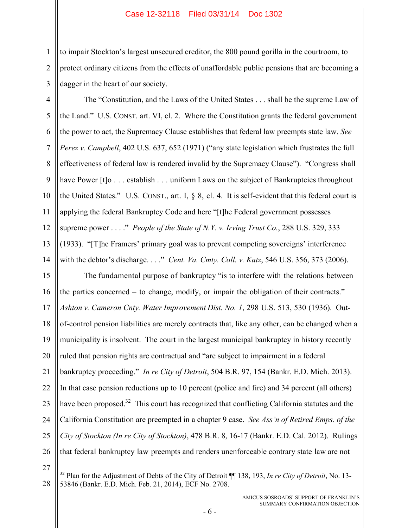to impair Stockton's largest unsecured creditor, the 800 pound gorilla in the courtroom, to protect ordinary citizens from the effects of unaffordable public pensions that are becoming a dagger in the heart of our society.

1

2

3

4 5 6 7 8 9 10 11 12 13 14 The "Constitution, and the Laws of the United States . . . shall be the supreme Law of the Land." U.S. CONST. art. VI, cl. 2. Where the Constitution grants the federal government the power to act, the Supremacy Clause establishes that federal law preempts state law. *See Perez v. Campbell*, 402 U.S. 637, 652 (1971) ("any state legislation which frustrates the full effectiveness of federal law is rendered invalid by the Supremacy Clause"). "Congress shall have Power [t]o . . . establish . . . uniform Laws on the subject of Bankruptcies throughout the United States." U.S. CONST., art. I,  $\S$  8, cl. 4. It is self-evident that this federal court is applying the federal Bankruptcy Code and here "[t]he Federal government possesses supreme power . . . ." *People of the State of N.Y. v. Irving Trust Co.*, 288 U.S. 329, 333 (1933). "[T]he Framers' primary goal was to prevent competing sovereigns' interference with the debtor's discharge. . . ." *Cent. Va. Cmty. Coll. v. Katz*, 546 U.S. 356, 373 (2006).

15 16 17 18 19 20 21 22 23 24 25 26 27 The fundamental purpose of bankruptcy "is to interfere with the relations between the parties concerned – to change, modify, or impair the obligation of their contracts." *Ashton v. Cameron Cnty. Water Improvement Dist. No. 1*, 298 U.S. 513, 530 (1936). Outof-control pension liabilities are merely contracts that, like any other, can be changed when a municipality is insolvent. The court in the largest municipal bankruptcy in history recently ruled that pension rights are contractual and "are subject to impairment in a federal bankruptcy proceeding." *In re City of Detroit*, 504 B.R. 97, 154 (Bankr. E.D. Mich. 2013). In that case pension reductions up to 10 percent (police and fire) and 34 percent (all others) have been proposed.<sup>32</sup> This court has recognized that conflicting California statutes and the California Constitution are preempted in a chapter 9 case. *See Ass'n of Retired Emps. of the City of Stockton (In re City of Stockton)*, 478 B.R. 8, 16-17 (Bankr. E.D. Cal. 2012). Rulings that federal bankruptcy law preempts and renders unenforceable contrary state law are not

28 32 Plan for the Adjustment of Debts of the City of Detroit ¶¶ 138, 193, *In re City of Detroit*, No. 13- 53846 (Bankr. E.D. Mich. Feb. 21, 2014), ECF No. 2708.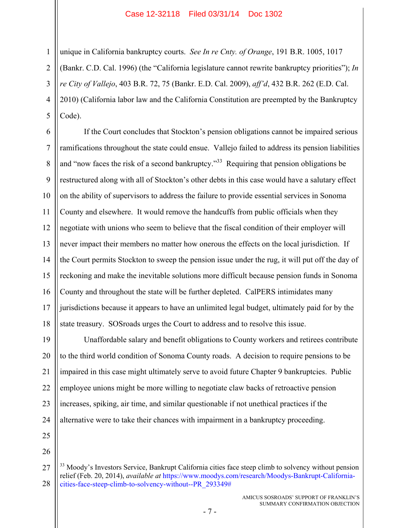unique in California bankruptcy courts. *See In re Cnty. of Orange*, 191 B.R. 1005, 1017 (Bankr. C.D. Cal. 1996) (the "California legislature cannot rewrite bankruptcy priorities"); *In re City of Vallejo*, 403 B.R. 72, 75 (Bankr. E.D. Cal. 2009), *aff'd*, 432 B.R. 262 (E.D. Cal. 2010) (California labor law and the California Constitution are preempted by the Bankruptcy Code).

6 7 8 9 10 11 12 13 14 15 16 17 18 If the Court concludes that Stockton's pension obligations cannot be impaired serious ramifications throughout the state could ensue. Vallejo failed to address its pension liabilities and "now faces the risk of a second bankruptcy."<sup>33</sup> Requiring that pension obligations be restructured along with all of Stockton's other debts in this case would have a salutary effect on the ability of supervisors to address the failure to provide essential services in Sonoma County and elsewhere. It would remove the handcuffs from public officials when they negotiate with unions who seem to believe that the fiscal condition of their employer will never impact their members no matter how onerous the effects on the local jurisdiction. If the Court permits Stockton to sweep the pension issue under the rug, it will put off the day of reckoning and make the inevitable solutions more difficult because pension funds in Sonoma County and throughout the state will be further depleted. CalPERS intimidates many jurisdictions because it appears to have an unlimited legal budget, ultimately paid for by the state treasury. SOSroads urges the Court to address and to resolve this issue.

19 20 21 22 23 24 Unaffordable salary and benefit obligations to County workers and retirees contribute to the third world condition of Sonoma County roads. A decision to require pensions to be impaired in this case might ultimately serve to avoid future Chapter 9 bankruptcies. Public employee unions might be more willing to negotiate claw backs of retroactive pension increases, spiking, air time, and similar questionable if not unethical practices if the alternative were to take their chances with impairment in a bankruptcy proceeding.

25

1

2

3

4

5

26

<sup>27</sup> 28  $33$  Moody's Investors Service, Bankrupt California cities face steep climb to solvency without pension relief (Feb. 20, 2014), *available at* https://www.moodys.com/research/Moodys-Bankrupt-Californiacities-face-steep-climb-to-solvency-without--PR\_293349#